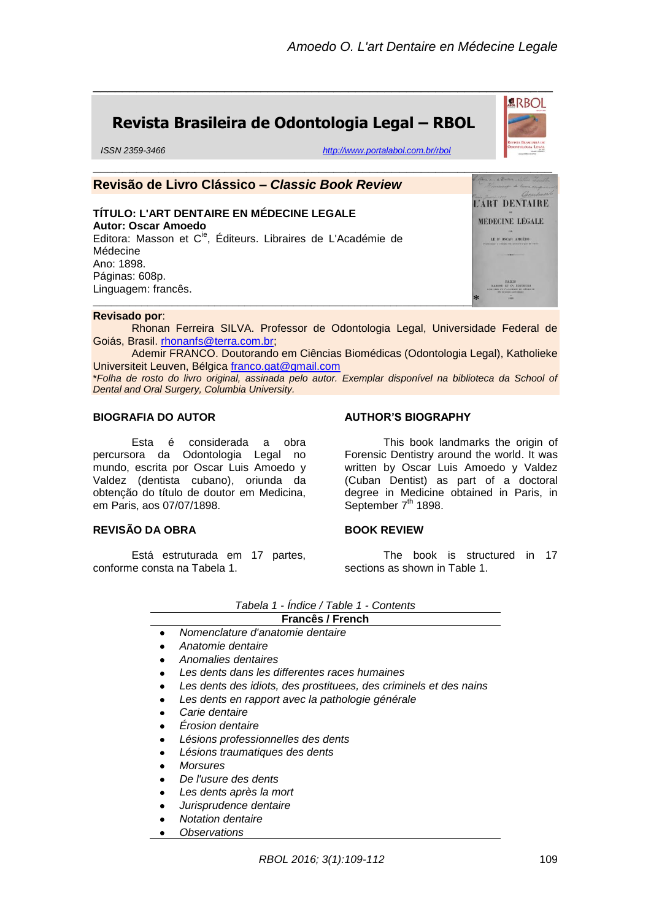**ARBOL** 

# **Revista Brasileira de Odontologia Legal – RBOL**

*ISSN 2359-3466 <http://www.portalabol.com.br/rbol>*



\_\_\_\_\_\_\_\_\_\_\_\_\_\_\_\_\_\_\_\_\_\_\_\_\_\_\_\_\_\_\_\_\_\_\_\_\_\_\_\_\_\_\_\_\_\_\_\_\_\_\_\_\_\_\_\_\_\_\_\_\_\_\_

#### **Revisado por**:

Rhonan Ferreira SILVA. Professor de Odontologia Legal, Universidade Federal de Goiás, Brasil. [rhonanfs@terra.com.br;](mailto:rhonanfs@terra.com.br)

Ademir FRANCO. Doutorando em Ciências Biomédicas (Odontologia Legal), Katholieke Universiteit Leuven, Bélgica [franco.gat@gmail.com](mailto:franco.gat@gmail.com)

\**Folha de rosto do livro original, assinada pelo autor. Exemplar disponível na biblioteca da School of Dental and Oral Surgery, Columbia University.*

### **BIOGRAFIA DO AUTOR**

Esta é considerada a obra percursora da Odontologia Legal no mundo, escrita por Oscar Luis Amoedo y Valdez (dentista cubano), oriunda da obtenção do título de doutor em Medicina, em Paris, aos 07/07/1898.

#### **REVISÃO DA OBRA**

Está estruturada em 17 partes, conforme consta na Tabela 1.

## **AUTHOR'S BIOGRAPHY**

This book landmarks the origin of Forensic Dentistry around the world. It was written by Oscar Luis Amoedo y Valdez (Cuban Dentist) as part of a doctoral degree in Medicine obtained in Paris, in September  $7<sup>th</sup>$  1898.

#### **BOOK REVIEW**

The book is structured in 17 sections as shown in Table 1.

|                  | Tabela 1 - Indice / Table 1 - Contents                            |
|------------------|-------------------------------------------------------------------|
| Francês / French |                                                                   |
| $\bullet$        | Nomenclature d'anatomie dentaire                                  |
| ٠                | Anatomie dentaire                                                 |
| ٠                | Anomalies dentaires                                               |
| $\bullet$        | Les dents dans les differentes races humaines                     |
| $\bullet$        | Les dents des idiots, des prostituees, des criminels et des nains |
| $\bullet$        | Les dents en rapport avec la pathologie générale                  |
| $\bullet$        | Carie dentaire                                                    |
| $\bullet$        | Erosion dentaire                                                  |
| ٠                | Lésions professionnelles des dents                                |
| $\bullet$        | Lésions traumatiques des dents                                    |
| ٠                | <b>Morsures</b>                                                   |
| $\bullet$        | De l'usure des dents                                              |
| $\bullet$        | Les dents après la mort                                           |
|                  |                                                                   |

- *Jurisprudence dentaire*
- *Notation dentaire*
- *Observations*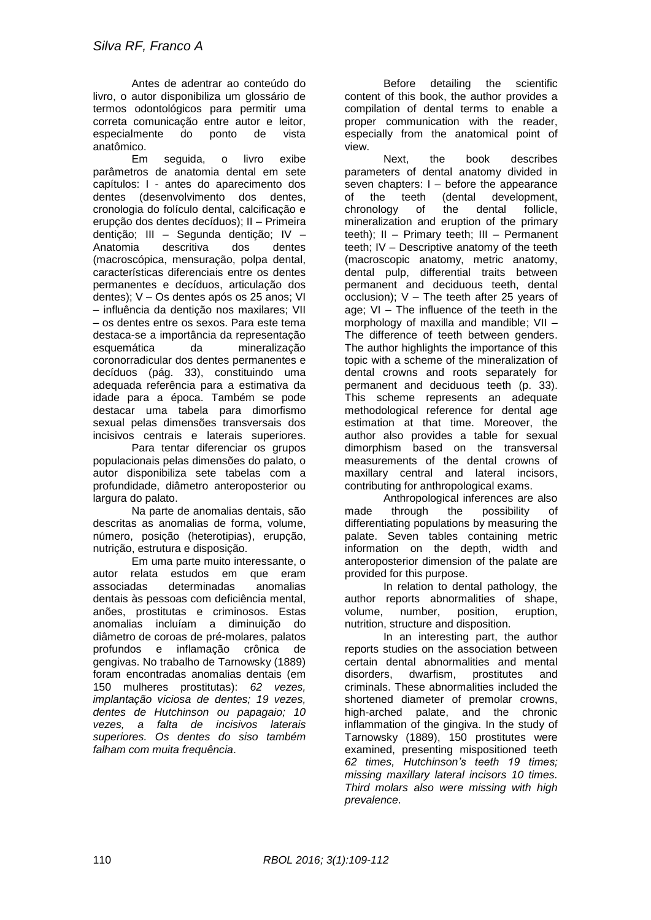Antes de adentrar ao conteúdo do livro, o autor disponibiliza um glossário de termos odontológicos para permitir uma correta comunicação entre autor e leitor, especialmente do ponto de vista anatômico.

Em seguida, o livro exibe parâmetros de anatomia dental em sete capítulos: I - antes do aparecimento dos dentes (desenvolvimento dos dentes, cronologia do folículo dental, calcificação e erupção dos dentes decíduos); II – Primeira dentição; III – Segunda dentição; IV – Anatomia descritiva dos dentes (macroscópica, mensuração, polpa dental, características diferenciais entre os dentes permanentes e decíduos, articulação dos dentes); V – Os dentes após os 25 anos; VI – influência da dentição nos maxilares; VII – os dentes entre os sexos. Para este tema destaca-se a importância da representação esquemática da mineralização coronorradicular dos dentes permanentes e decíduos (pág. 33), constituindo uma adequada referência para a estimativa da idade para a época. Também se pode destacar uma tabela para dimorfismo sexual pelas dimensões transversais dos incisivos centrais e laterais superiores.

Para tentar diferenciar os grupos populacionais pelas dimensões do palato, o autor disponibiliza sete tabelas com a profundidade, diâmetro anteroposterior ou largura do palato.

Na parte de anomalias dentais, são descritas as anomalias de forma, volume, número, posição (heterotipias), erupção, nutrição, estrutura e disposição.

Em uma parte muito interessante, o autor relata estudos em que eram associadas determinadas anomalias dentais às pessoas com deficiência mental, anões, prostitutas e criminosos. Estas anomalias incluíam a diminuição do diâmetro de coroas de pré-molares, palatos profundos e inflamação crônica de gengivas. No trabalho de Tarnowsky (1889) foram encontradas anomalias dentais (em 150 mulheres prostitutas): *62 vezes, implantação viciosa de dentes; 19 vezes, dentes de Hutchinson ou papagaio; 10 vezes, a falta de incisivos laterais superiores. Os dentes do siso também falham com muita frequência*.

Before detailing the scientific content of this book, the author provides a compilation of dental terms to enable a proper communication with the reader, especially from the anatomical point of view.

Next, the book describes parameters of dental anatomy divided in seven chapters: I – before the appearance<br>of the teeth (dental development. of the teeth (dental development, chronology of the dental follicle, mineralization and eruption of the primary teeth); II – Primary teeth; III – Permanent teeth; IV – Descriptive anatomy of the teeth (macroscopic anatomy, metric anatomy, dental pulp, differential traits between permanent and deciduous teeth, dental occlusion); V – The teeth after 25 years of age; VI – The influence of the teeth in the morphology of maxilla and mandible: VII -The difference of teeth between genders. The author highlights the importance of this topic with a scheme of the mineralization of dental crowns and roots separately for permanent and deciduous teeth (p. 33). This scheme represents an adequate methodological reference for dental age estimation at that time. Moreover, the author also provides a table for sexual dimorphism based on the transversal measurements of the dental crowns of maxillary central and lateral incisors, contributing for anthropological exams.

Anthropological inferences are also made through the possibility of differentiating populations by measuring the palate. Seven tables containing metric information on the depth, width and anteroposterior dimension of the palate are provided for this purpose.

In relation to dental pathology, the author reports abnormalities of shape, volume, number, position, eruption, nutrition, structure and disposition.

In an interesting part, the author reports studies on the association between certain dental abnormalities and mental disorders, dwarfism, prostitutes and criminals. These abnormalities included the shortened diameter of premolar crowns, high-arched palate, and the chronic inflammation of the gingiva. In the study of Tarnowsky (1889), 150 prostitutes were examined, presenting mispositioned teeth *62 times, Hutchinson's teeth 19 times; missing maxillary lateral incisors 10 times. Third molars also were missing with high prevalence*.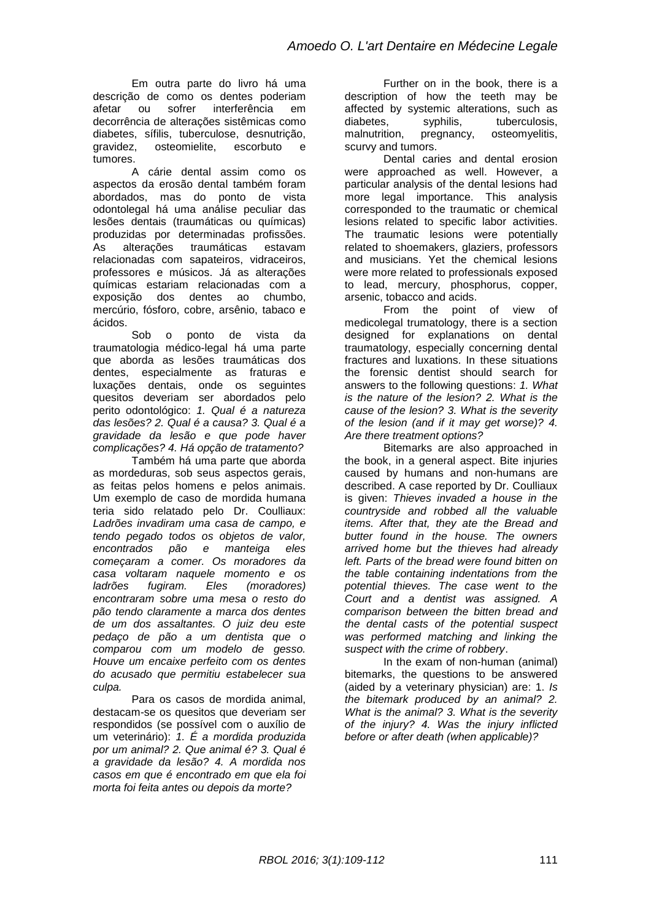Em outra parte do livro há uma descrição de como os dentes poderiam afetar ou sofrer interferência em decorrência de alterações sistêmicas como diabetes, sífilis, tuberculose, desnutrição, gravidez, osteomielite, escorbuto e tumores.

A cárie dental assim como os aspectos da erosão dental também foram abordados, mas do ponto de vista odontolegal há uma análise peculiar das lesões dentais (traumáticas ou químicas) produzidas por determinadas profissões.<br>As alterações traumáticas estavam As alterações traumáticas estavam relacionadas com sapateiros, vidraceiros, professores e músicos. Já as alterações químicas estariam relacionadas com a exposição dos dentes ao chumbo, mercúrio, fósforo, cobre, arsênio, tabaco e ácidos.

Sob o ponto de vista da traumatologia médico-legal há uma parte que aborda as lesões traumáticas dos dentes, especialmente as fraturas e luxações dentais, onde os seguintes quesitos deveriam ser abordados pelo perito odontológico: *1. Qual é a natureza das lesões? 2. Qual é a causa? 3. Qual é a gravidade da lesão e que pode haver complicações? 4. Há opção de tratamento?*

Também há uma parte que aborda as mordeduras, sob seus aspectos gerais, as feitas pelos homens e pelos animais. Um exemplo de caso de mordida humana teria sido relatado pelo Dr. Coulliaux: *Ladrões invadiram uma casa de campo, e tendo pegado todos os objetos de valor, encontrados pão e manteiga eles começaram a comer. Os moradores da casa voltaram naquele momento e os ladrões fugiram. Eles (moradores) encontraram sobre uma mesa o resto do pão tendo claramente a marca dos dentes de um dos assaltantes. O juiz deu este pedaço de pão a um dentista que o comparou com um modelo de gesso. Houve um encaixe perfeito com os dentes do acusado que permitiu estabelecer sua culpa.* 

Para os casos de mordida animal, destacam-se os quesitos que deveriam ser respondidos (se possível com o auxílio de um veterinário): *1. É a mordida produzida por um animal? 2. Que animal é? 3. Qual é a gravidade da lesão? 4. A mordida nos casos em que é encontrado em que ela foi morta foi feita antes ou depois da morte?*

Further on in the book, there is a description of how the teeth may be affected by systemic alterations, such as diabetes, syphilis, tuberculosis, malnutrition, pregnancy, osteomyelitis, scurvy and tumors.

Dental caries and dental erosion were approached as well. However, a particular analysis of the dental lesions had more legal importance. This analysis corresponded to the traumatic or chemical lesions related to specific labor activities. The traumatic lesions were potentially related to shoemakers, glaziers, professors and musicians. Yet the chemical lesions were more related to professionals exposed to lead, mercury, phosphorus, copper, arsenic, tobacco and acids.

From the point of view of medicolegal trumatology, there is a section designed for explanations on dental traumatology, especially concerning dental fractures and luxations. In these situations the forensic dentist should search for answers to the following questions: *1. What is the nature of the lesion? 2. What is the cause of the lesion? 3. What is the severity of the lesion (and if it may get worse)? 4. Are there treatment options?*

Bitemarks are also approached in the book, in a general aspect. Bite injuries caused by humans and non-humans are described. A case reported by Dr. Coulliaux is given: *Thieves invaded a house in the countryside and robbed all the valuable items. After that, they ate the Bread and butter found in the house. The owners arrived home but the thieves had already left. Parts of the bread were found bitten on the table containing indentations from the potential thieves. The case went to the Court and a dentist was assigned. A comparison between the bitten bread and the dental casts of the potential suspect was performed matching and linking the suspect with the crime of robbery*.

In the exam of non-human (animal) bitemarks, the questions to be answered (aided by a veterinary physician) are: 1. *Is the bitemark produced by an animal? 2. What is the animal? 3. What is the severity of the injury? 4. Was the injury inflicted before or after death (when applicable)?*